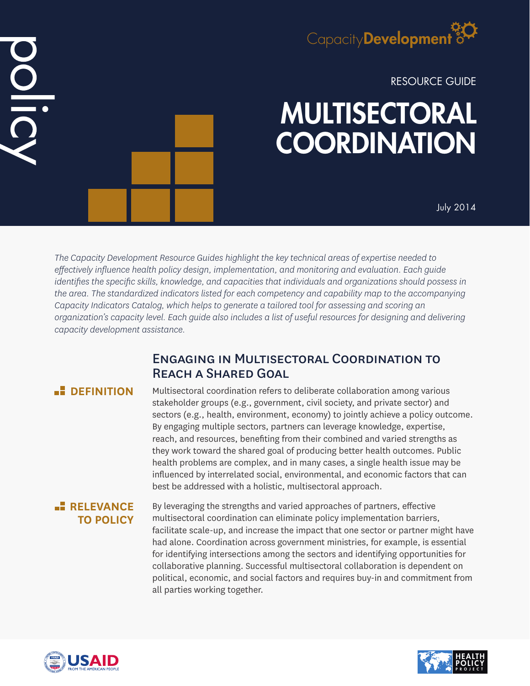

RESOURCE GUIDE

# MULTISECTORAL **COORDINATION**

July 2014

*The Capacity Development Resource Guides highlight the key technical areas of expertise needed to effectively influence health policy design, implementation, and monitoring and evaluation. Each guide identifies the specific skills, knowledge, and capacities that individuals and organizations should possess in the area. The standardized indicators listed for each competency and capability map to the accompanying Capacity Indicators Catalog, which helps to generate a tailored tool for assessing and scoring an organization's capacity level. Each guide also includes a list of useful resources for designing and delivering capacity development assistance.*

# Engaging in Multisectoral Coordination to Reach a Shared Goal

# **<u>B**</u> DEFINITION

Multisectoral coordination refers to deliberate collaboration among various stakeholder groups (e.g., government, civil society, and private sector) and sectors (e.g., health, environment, economy) to jointly achieve a policy outcome. By engaging multiple sectors, partners can leverage knowledge, expertise, reach, and resources, benefiting from their combined and varied strengths as they work toward the shared goal of producing better health outcomes. Public health problems are complex, and in many cases, a single health issue may be influenced by interrelated social, environmental, and economic factors that can best be addressed with a holistic, multisectoral approach.

## **RELEVANCE TO POLICY**

By leveraging the strengths and varied approaches of partners, effective multisectoral coordination can eliminate policy implementation barriers, facilitate scale-up, and increase the impact that one sector or partner might have had alone. Coordination across government ministries, for example, is essential for identifying intersections among the sectors and identifying opportunities for collaborative planning. Successful multisectoral collaboration is dependent on political, economic, and social factors and requires buy-in and commitment from all parties working together.



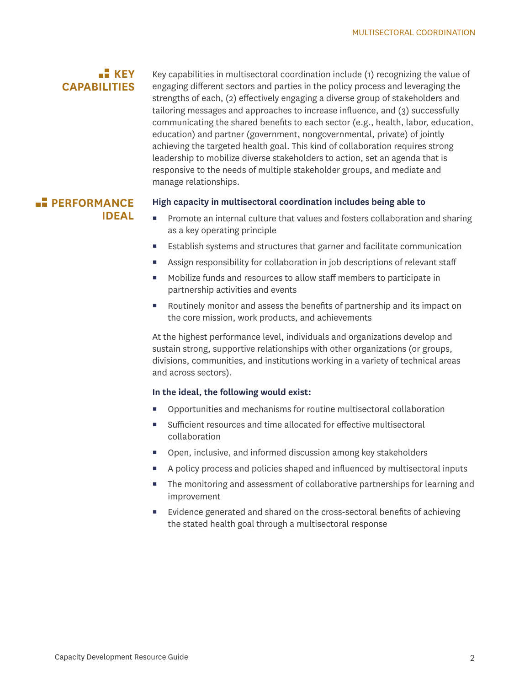# **KEY CAPABILITIES**

Key capabilities in multisectoral coordination include (1) recognizing the value of engaging different sectors and parties in the policy process and leveraging the strengths of each, (2) effectively engaging a diverse group of stakeholders and tailoring messages and approaches to increase influence, and (3) successfully communicating the shared benefits to each sector (e.g., health, labor, education, education) and partner (government, nongovernmental, private) of jointly achieving the targeted health goal. This kind of collaboration requires strong leadership to mobilize diverse stakeholders to action, set an agenda that is responsive to the needs of multiple stakeholder groups, and mediate and manage relationships.

## **PERFORMANCE IDEAL**

#### **High capacity in multisectoral coordination includes being able to**

- Promote an internal culture that values and fosters collaboration and sharing as a key operating principle
- Establish systems and structures that garner and facilitate communication
- Assign responsibility for collaboration in job descriptions of relevant staff
- Mobilize funds and resources to allow staff members to participate in partnership activities and events
- Routinely monitor and assess the benefits of partnership and its impact on the core mission, work products, and achievements

At the highest performance level, individuals and organizations develop and sustain strong, supportive relationships with other organizations (or groups, divisions, communities, and institutions working in a variety of technical areas and across sectors).

#### **In the ideal, the following would exist:**

- Opportunities and mechanisms for routine multisectoral collaboration
- Sufficient resources and time allocated for effective multisectoral collaboration
- Open, inclusive, and informed discussion among key stakeholders
- A policy process and policies shaped and influenced by multisectoral inputs
- The monitoring and assessment of collaborative partnerships for learning and improvement
- Evidence generated and shared on the cross-sectoral benefits of achieving the stated health goal through a multisectoral response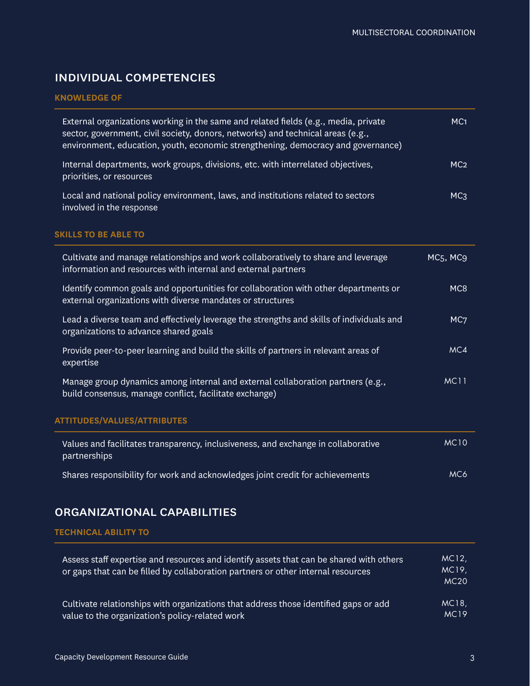# individual competencies

#### **KNOWLEDGE OF**

| External organizations working in the same and related fields (e.g., media, private<br>sector, government, civil society, donors, networks) and technical areas (e.g.,<br>environment, education, youth, economic strengthening, democracy and governance) | MC <sub>1</sub>                   |
|------------------------------------------------------------------------------------------------------------------------------------------------------------------------------------------------------------------------------------------------------------|-----------------------------------|
| Internal departments, work groups, divisions, etc. with interrelated objectives,<br>priorities, or resources                                                                                                                                               | MC <sub>2</sub>                   |
| Local and national policy environment, laws, and institutions related to sectors<br>involved in the response                                                                                                                                               | MC <sub>3</sub>                   |
| <b>SKILLS TO BE ABLE TO</b>                                                                                                                                                                                                                                |                                   |
| Cultivate and manage relationships and work collaboratively to share and leverage<br>information and resources with internal and external partners                                                                                                         | MC <sub>5</sub> , MC <sub>9</sub> |
| Identify common goals and opportunities for collaboration with other departments or<br>external organizations with diverse mandates or structures                                                                                                          | MC8                               |
| Lead a diverse team and effectively leverage the strengths and skills of individuals and<br>organizations to advance shared goals                                                                                                                          | MC <sub>7</sub>                   |
| Provide peer-to-peer learning and build the skills of partners in relevant areas of<br>expertise                                                                                                                                                           | MC4                               |
| Manage group dynamics among internal and external collaboration partners (e.g.,<br>build consensus, manage conflict, facilitate exchange)                                                                                                                  | <b>MC11</b>                       |
| <b>ATTITUDES/VALUES/ATTRIBUTES</b>                                                                                                                                                                                                                         |                                   |
| Values and facilitates transparency, inclusiveness, and exchange in collaborative<br>partnerships                                                                                                                                                          | <b>MC10</b>                       |
| Shares responsibility for work and acknowledges joint credit for achievements                                                                                                                                                                              | MC6                               |

# organizational capabilities

**TECHNICAL ABILITY TO**

| Assess staff expertise and resources and identify assets that can be shared with others<br>or gaps that can be filled by collaboration partners or other internal resources | MC12,<br>MC19,<br>MC20 |
|-----------------------------------------------------------------------------------------------------------------------------------------------------------------------------|------------------------|
| Cultivate relationships with organizations that address those identified gaps or add                                                                                        | MC18,                  |
| value to the organization's policy-related work                                                                                                                             | <b>MC19</b>            |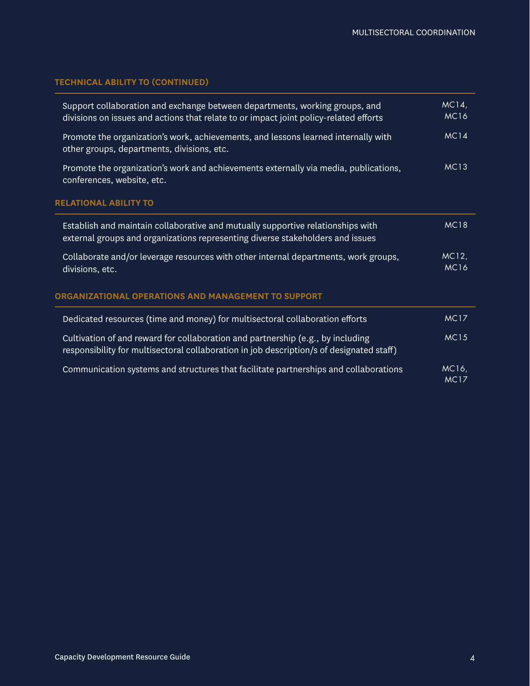## **TECHNICAL ABILITY TO (CONTINUED)**

| Support collaboration and exchange between departments, working groups, and<br>divisions on issues and actions that relate to or impact joint policy-related efforts        | MC14,<br><b>MC16</b> |
|-----------------------------------------------------------------------------------------------------------------------------------------------------------------------------|----------------------|
| Promote the organization's work, achievements, and lessons learned internally with<br>other groups, departments, divisions, etc.                                            | <b>MC14</b>          |
| Promote the organization's work and achievements externally via media, publications,<br>conferences, website, etc.                                                          | <b>MC13</b>          |
| <b>RELATIONAL ABILITY TO</b>                                                                                                                                                |                      |
| Establish and maintain collaborative and mutually supportive relationships with<br>external groups and organizations representing diverse stakeholders and issues           | <b>MC18</b>          |
| Collaborate and/or leverage resources with other internal departments, work groups,<br>divisions, etc.                                                                      | MC12,<br><b>MC16</b> |
| ORGANIZATIONAL OPERATIONS AND MANAGEMENT TO SUPPORT                                                                                                                         |                      |
| Dedicated resources (time and money) for multisectoral collaboration efforts                                                                                                | <b>MC17</b>          |
| Cultivation of and reward for collaboration and partnership (e.g., by including<br>responsibility for multisectoral collaboration in job description/s of designated staff) | <b>MC15</b>          |
| Communication systems and structures that facilitate partnerships and collaborations                                                                                        | MC16,<br><b>MC17</b> |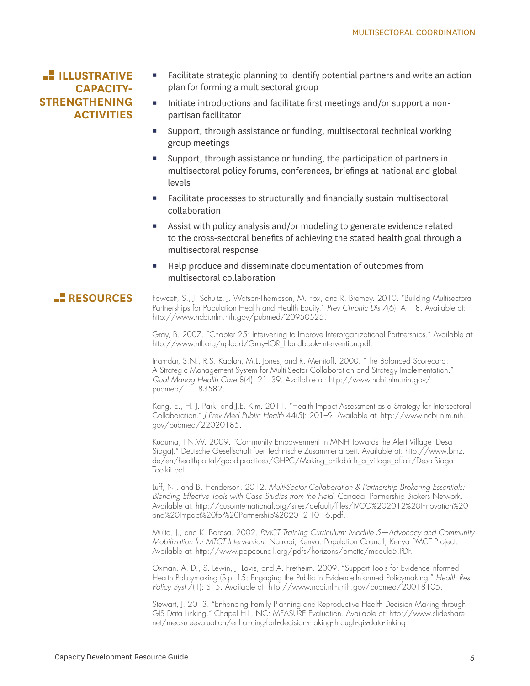# **ILLUSTRATIVE CAPACITY-STRENGTHENING ACTIVITIES**

- Facilitate strategic planning to identify potential partners and write an action plan for forming a multisectoral group
- Initiate introductions and facilitate first meetings and/or support a nonpartisan facilitator
- Support, through assistance or funding, multisectoral technical working group meetings
- Support, through assistance or funding, the participation of partners in multisectoral policy forums, conferences, briefings at national and global levels
- Facilitate processes to structurally and financially sustain multisectoral collaboration
- Assist with policy analysis and/or modeling to generate evidence related to the cross-sectoral benefits of achieving the stated health goal through a multisectoral response
- Help produce and disseminate documentation of outcomes from multisectoral collaboration

## **RESOURCES**

Fawcett, S., J. Schultz, J. Watson-Thompson, M. Fox, and R. Bremby. 2010. "Building Multisectoral Partnerships for Population Health and Health Equity." *Prev Chronic Dis* 7(6): A118. Available at: http://www.ncbi.nlm.nih.gov/pubmed/20950525.

Gray, B. 2007. "Chapter 25: Intervening to Improve Interorganizational Partnerships." Available at: http://www.ntl.org/upload/Gray-IOR\_Handbook-Intervention.pdf.

Inamdar, S.N., R.S. Kaplan, M.L. Jones, and R. Menitoff. 2000. "The Balanced Scorecard: A Strategic Management System for Multi-Sector Collaboration and Strategy Implementation." *Qual Manag Health Care* 8(4): 21–39. Available at: http://www.ncbi.nlm.nih.gov/ pubmed/11183582.

Kang, E., H. J. Park, and J.E. Kim. 2011. "Health Impact Assessment as a Strategy for Intersectoral Collaboration." *J Prev Med Public Health* 44(5): 201–9. Available at: http://www.ncbi.nlm.nih. gov/pubmed/22020185.

Kuduma, I.N.W. 2009. "Community Empowerment in MNH Towards the Alert Village (Desa Siaga)." Deutsche Gesellschaft fuer Technische Zusammenarbeit. Available at: http://www.bmz. de/en/healthportal/good-practices/GHPC/Making\_childbirth\_a\_village\_affair/Desa-Siaga-Toolkit.pdf

Luff, N., and B. Henderson. 2012. *Multi-Sector Collaboration & Partnership Brokering Essentials: Blending Effective Tools with Case Studies from the Field*. Canada: Partnership Brokers Network. Available at: http://cusointernational.org/sites/default/files/IVCO%202012%20Innovation%20 and%20Impact%20for%20Partnership%202012-10-16.pdf.

Muita, J., and K. Barasa. 2002. *PMCT Training Curriculum: Module 5—Advocacy and Community Mobilization for MTCT Intervention*. Nairobi, Kenya: Population Council, Kenya PMCT Project. Available at: http://www.popcouncil.org/pdfs/horizons/pmcttc/module5.PDF.

Oxman, A. D., S. Lewin, J. Lavis, and A. Fretheim. 2009. "Support Tools for Evidence-Informed Health Policymaking (Stp) 15: Engaging the Public in Evidence-Informed Policymaking." *Health Res Policy Syst* 7(1): S15. Available at: http://www.ncbi.nlm.nih.gov/pubmed/20018105.

Stewart, J. 2013. "Enhancing Family Planning and Reproductive Health Decision Making through GIS Data Linking." Chapel Hill, NC: MEASURE Evaluation. Available at: http://www.slideshare. net/measureevaluation/enhancing-fprh-decision-making-through-gis-data-linking.